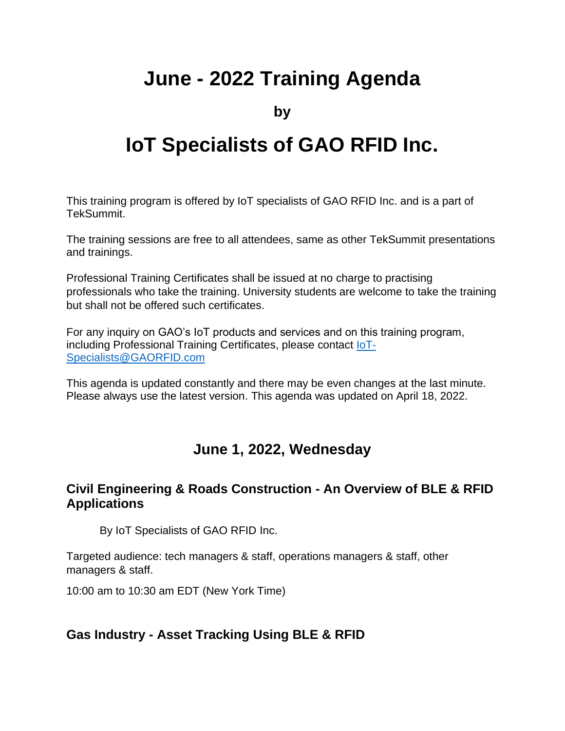# **June - 2022 Training Agenda**

**by**

# **IoT Specialists of GAO RFID Inc.**

This training program is offered by IoT specialists of GAO RFID Inc. and is a part of TekSummit.

The training sessions are free to all attendees, same as other TekSummit presentations and trainings.

Professional Training Certificates shall be issued at no charge to practising professionals who take the training. University students are welcome to take the training but shall not be offered such certificates.

For any inquiry on GAO's IoT products and services and on this training program, including Professional Training Certificates, please contact **IoT**-[Specialists@GAORFID.com](mailto:IoT-Specialists@GAORFID.com)

This agenda is updated constantly and there may be even changes at the last minute. Please always use the latest version. This agenda was updated on April 18, 2022.

# **June 1, 2022, Wednesday**

#### **Civil Engineering & Roads Construction - An Overview of BLE & RFID Applications**

By IoT Specialists of GAO RFID Inc.

Targeted audience: tech managers & staff, operations managers & staff, other managers & staff.

10:00 am to 10:30 am EDT (New York Time)

#### **Gas Industry - Asset Tracking Using BLE & RFID**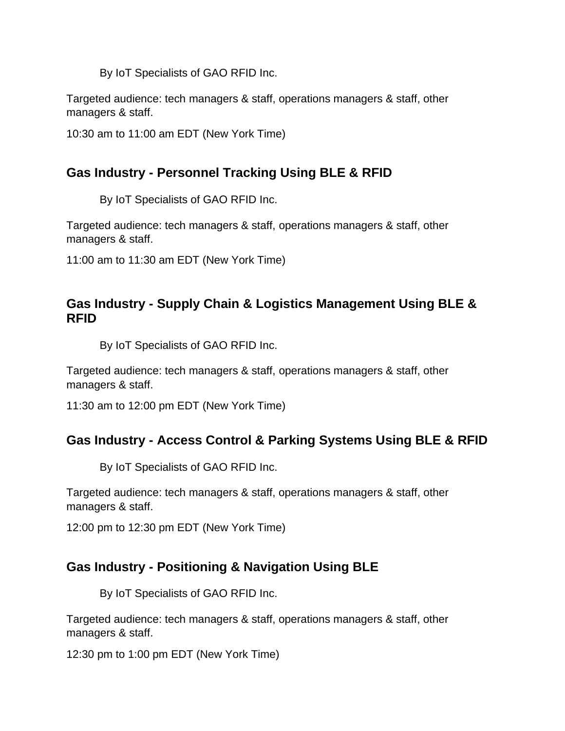Targeted audience: tech managers & staff, operations managers & staff, other managers & staff.

10:30 am to 11:00 am EDT (New York Time)

# **Gas Industry - Personnel Tracking Using BLE & RFID**

By IoT Specialists of GAO RFID Inc.

Targeted audience: tech managers & staff, operations managers & staff, other managers & staff.

11:00 am to 11:30 am EDT (New York Time)

#### **Gas Industry - Supply Chain & Logistics Management Using BLE & RFID**

By IoT Specialists of GAO RFID Inc.

Targeted audience: tech managers & staff, operations managers & staff, other managers & staff.

11:30 am to 12:00 pm EDT (New York Time)

# **Gas Industry - Access Control & Parking Systems Using BLE & RFID**

By IoT Specialists of GAO RFID Inc.

Targeted audience: tech managers & staff, operations managers & staff, other managers & staff.

12:00 pm to 12:30 pm EDT (New York Time)

# **Gas Industry - Positioning & Navigation Using BLE**

By IoT Specialists of GAO RFID Inc.

Targeted audience: tech managers & staff, operations managers & staff, other managers & staff.

12:30 pm to 1:00 pm EDT (New York Time)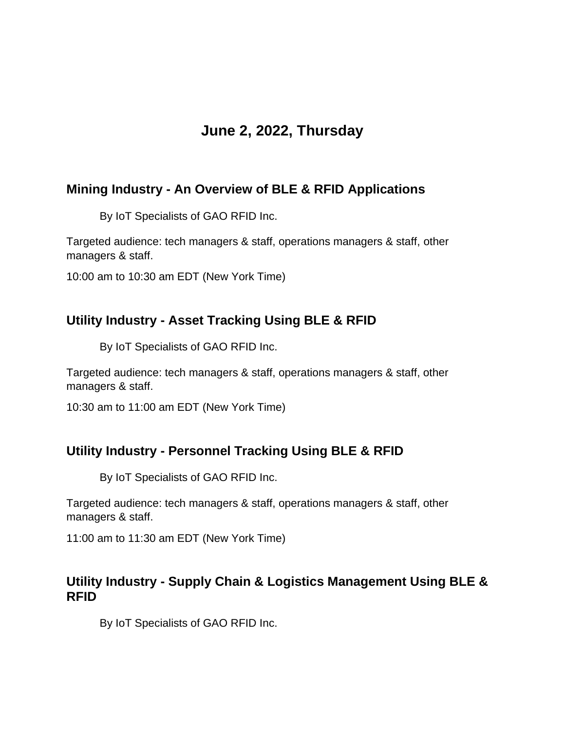# **June 2, 2022, Thursday**

# **Mining Industry - An Overview of BLE & RFID Applications**

By IoT Specialists of GAO RFID Inc.

Targeted audience: tech managers & staff, operations managers & staff, other managers & staff.

10:00 am to 10:30 am EDT (New York Time)

#### **Utility Industry - Asset Tracking Using BLE & RFID**

By IoT Specialists of GAO RFID Inc.

Targeted audience: tech managers & staff, operations managers & staff, other managers & staff.

10:30 am to 11:00 am EDT (New York Time)

# **Utility Industry - Personnel Tracking Using BLE & RFID**

By IoT Specialists of GAO RFID Inc.

Targeted audience: tech managers & staff, operations managers & staff, other managers & staff.

11:00 am to 11:30 am EDT (New York Time)

#### **Utility Industry - Supply Chain & Logistics Management Using BLE & RFID**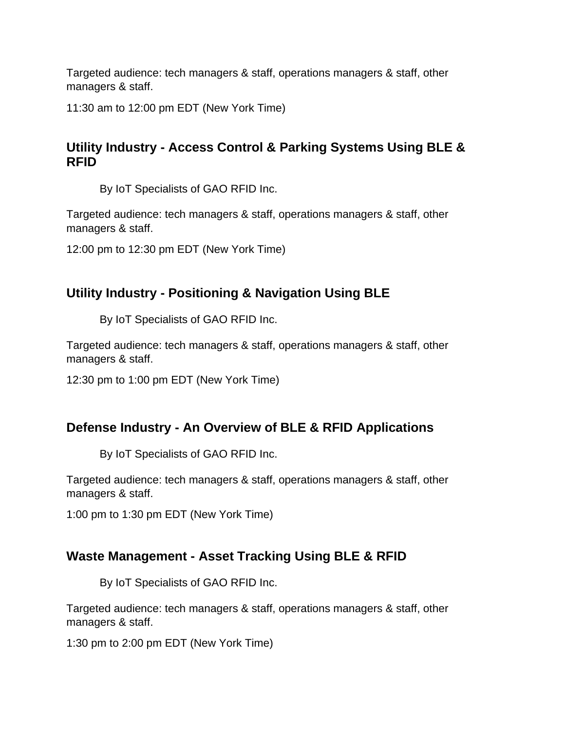11:30 am to 12:00 pm EDT (New York Time)

# **Utility Industry - Access Control & Parking Systems Using BLE & RFID**

By IoT Specialists of GAO RFID Inc.

Targeted audience: tech managers & staff, operations managers & staff, other managers & staff.

12:00 pm to 12:30 pm EDT (New York Time)

# **Utility Industry - Positioning & Navigation Using BLE**

By IoT Specialists of GAO RFID Inc.

Targeted audience: tech managers & staff, operations managers & staff, other managers & staff.

12:30 pm to 1:00 pm EDT (New York Time)

# **Defense Industry - An Overview of BLE & RFID Applications**

By IoT Specialists of GAO RFID Inc.

Targeted audience: tech managers & staff, operations managers & staff, other managers & staff.

1:00 pm to 1:30 pm EDT (New York Time)

# **Waste Management - Asset Tracking Using BLE & RFID**

By IoT Specialists of GAO RFID Inc.

Targeted audience: tech managers & staff, operations managers & staff, other managers & staff.

1:30 pm to 2:00 pm EDT (New York Time)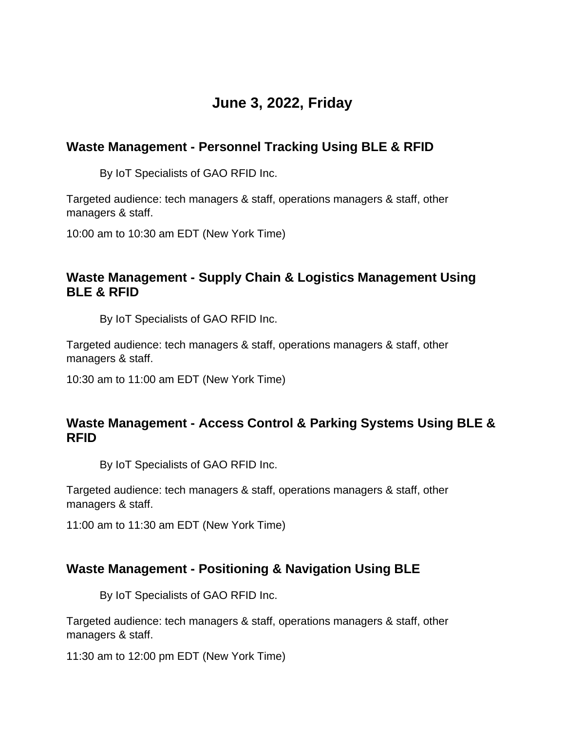# **June 3, 2022, Friday**

# **Waste Management - Personnel Tracking Using BLE & RFID**

By IoT Specialists of GAO RFID Inc.

Targeted audience: tech managers & staff, operations managers & staff, other managers & staff.

10:00 am to 10:30 am EDT (New York Time)

# **Waste Management - Supply Chain & Logistics Management Using BLE & RFID**

By IoT Specialists of GAO RFID Inc.

Targeted audience: tech managers & staff, operations managers & staff, other managers & staff.

10:30 am to 11:00 am EDT (New York Time)

#### **Waste Management - Access Control & Parking Systems Using BLE & RFID**

By IoT Specialists of GAO RFID Inc.

Targeted audience: tech managers & staff, operations managers & staff, other managers & staff.

11:00 am to 11:30 am EDT (New York Time)

# **Waste Management - Positioning & Navigation Using BLE**

By IoT Specialists of GAO RFID Inc.

Targeted audience: tech managers & staff, operations managers & staff, other managers & staff.

11:30 am to 12:00 pm EDT (New York Time)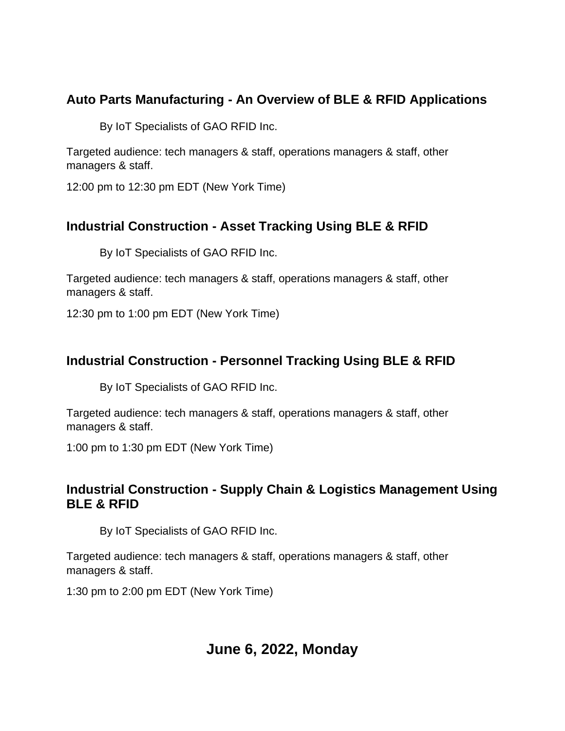# **Auto Parts Manufacturing - An Overview of BLE & RFID Applications**

By IoT Specialists of GAO RFID Inc.

Targeted audience: tech managers & staff, operations managers & staff, other managers & staff.

12:00 pm to 12:30 pm EDT (New York Time)

# **Industrial Construction - Asset Tracking Using BLE & RFID**

By IoT Specialists of GAO RFID Inc.

Targeted audience: tech managers & staff, operations managers & staff, other managers & staff.

12:30 pm to 1:00 pm EDT (New York Time)

# **Industrial Construction - Personnel Tracking Using BLE & RFID**

By IoT Specialists of GAO RFID Inc.

Targeted audience: tech managers & staff, operations managers & staff, other managers & staff.

1:00 pm to 1:30 pm EDT (New York Time)

# **Industrial Construction - Supply Chain & Logistics Management Using BLE & RFID**

By IoT Specialists of GAO RFID Inc.

Targeted audience: tech managers & staff, operations managers & staff, other managers & staff.

1:30 pm to 2:00 pm EDT (New York Time)

# **June 6, 2022, Monday**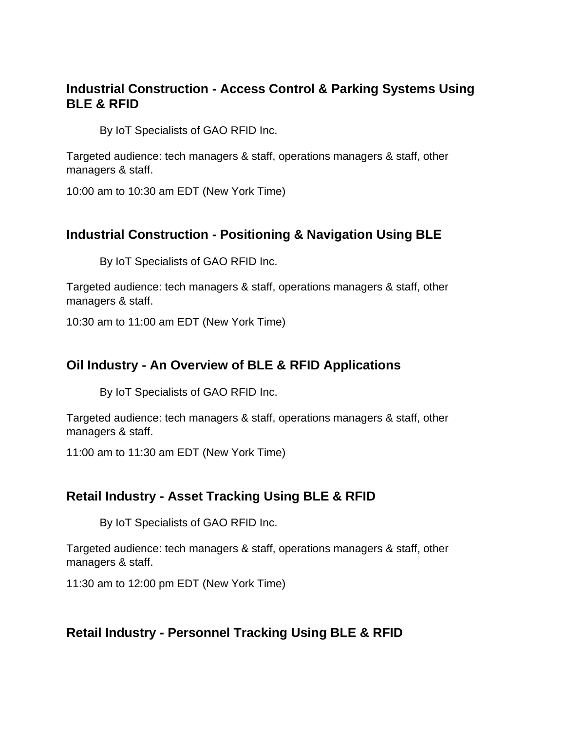### **Industrial Construction - Access Control & Parking Systems Using BLE & RFID**

By IoT Specialists of GAO RFID Inc.

Targeted audience: tech managers & staff, operations managers & staff, other managers & staff.

10:00 am to 10:30 am EDT (New York Time)

# **Industrial Construction - Positioning & Navigation Using BLE**

By IoT Specialists of GAO RFID Inc.

Targeted audience: tech managers & staff, operations managers & staff, other managers & staff.

10:30 am to 11:00 am EDT (New York Time)

#### **Oil Industry - An Overview of BLE & RFID Applications**

By IoT Specialists of GAO RFID Inc.

Targeted audience: tech managers & staff, operations managers & staff, other managers & staff.

11:00 am to 11:30 am EDT (New York Time)

#### **Retail Industry - Asset Tracking Using BLE & RFID**

By IoT Specialists of GAO RFID Inc.

Targeted audience: tech managers & staff, operations managers & staff, other managers & staff.

11:30 am to 12:00 pm EDT (New York Time)

#### **Retail Industry - Personnel Tracking Using BLE & RFID**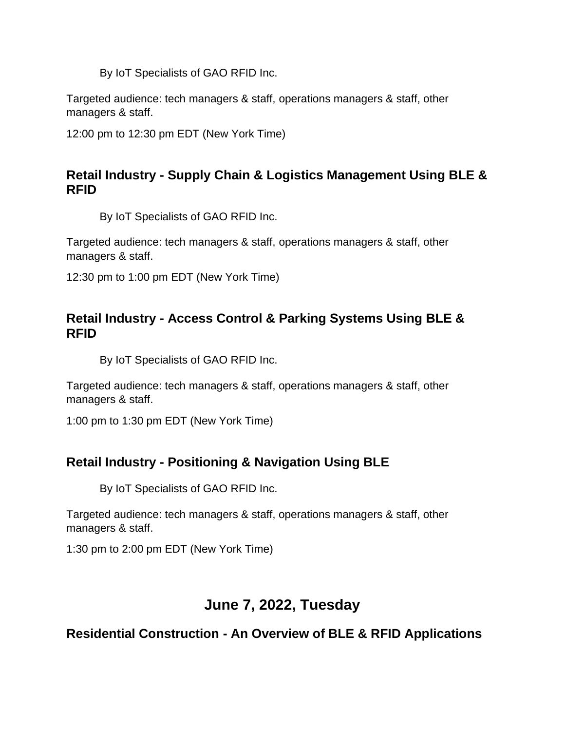Targeted audience: tech managers & staff, operations managers & staff, other managers & staff.

12:00 pm to 12:30 pm EDT (New York Time)

# **Retail Industry - Supply Chain & Logistics Management Using BLE & RFID**

By IoT Specialists of GAO RFID Inc.

Targeted audience: tech managers & staff, operations managers & staff, other managers & staff.

12:30 pm to 1:00 pm EDT (New York Time)

# **Retail Industry - Access Control & Parking Systems Using BLE & RFID**

By IoT Specialists of GAO RFID Inc.

Targeted audience: tech managers & staff, operations managers & staff, other managers & staff.

1:00 pm to 1:30 pm EDT (New York Time)

# **Retail Industry - Positioning & Navigation Using BLE**

By IoT Specialists of GAO RFID Inc.

Targeted audience: tech managers & staff, operations managers & staff, other managers & staff.

1:30 pm to 2:00 pm EDT (New York Time)

# **June 7, 2022, Tuesday**

**Residential Construction - An Overview of BLE & RFID Applications**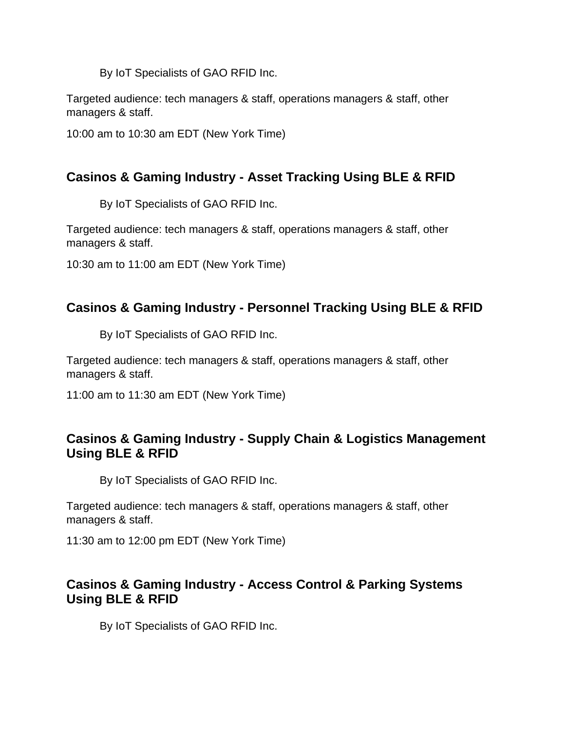Targeted audience: tech managers & staff, operations managers & staff, other managers & staff.

10:00 am to 10:30 am EDT (New York Time)

# **Casinos & Gaming Industry - Asset Tracking Using BLE & RFID**

By IoT Specialists of GAO RFID Inc.

Targeted audience: tech managers & staff, operations managers & staff, other managers & staff.

10:30 am to 11:00 am EDT (New York Time)

# **Casinos & Gaming Industry - Personnel Tracking Using BLE & RFID**

By IoT Specialists of GAO RFID Inc.

Targeted audience: tech managers & staff, operations managers & staff, other managers & staff.

11:00 am to 11:30 am EDT (New York Time)

# **Casinos & Gaming Industry - Supply Chain & Logistics Management Using BLE & RFID**

By IoT Specialists of GAO RFID Inc.

Targeted audience: tech managers & staff, operations managers & staff, other managers & staff.

11:30 am to 12:00 pm EDT (New York Time)

#### **Casinos & Gaming Industry - Access Control & Parking Systems Using BLE & RFID**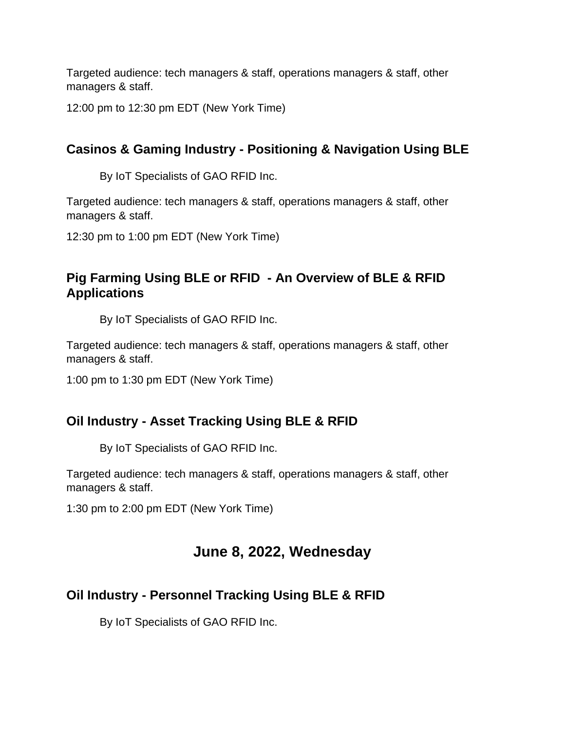12:00 pm to 12:30 pm EDT (New York Time)

# **Casinos & Gaming Industry - Positioning & Navigation Using BLE**

By IoT Specialists of GAO RFID Inc.

Targeted audience: tech managers & staff, operations managers & staff, other managers & staff.

12:30 pm to 1:00 pm EDT (New York Time)

# **Pig Farming Using BLE or RFID - An Overview of BLE & RFID Applications**

By IoT Specialists of GAO RFID Inc.

Targeted audience: tech managers & staff, operations managers & staff, other managers & staff.

1:00 pm to 1:30 pm EDT (New York Time)

# **Oil Industry - Asset Tracking Using BLE & RFID**

By IoT Specialists of GAO RFID Inc.

Targeted audience: tech managers & staff, operations managers & staff, other managers & staff.

1:30 pm to 2:00 pm EDT (New York Time)

# **June 8, 2022, Wednesday**

# **Oil Industry - Personnel Tracking Using BLE & RFID**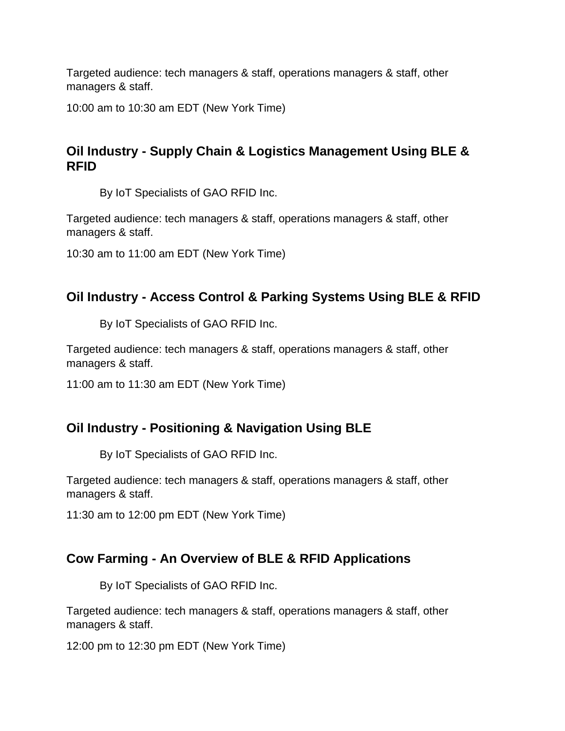10:00 am to 10:30 am EDT (New York Time)

# **Oil Industry - Supply Chain & Logistics Management Using BLE & RFID**

By IoT Specialists of GAO RFID Inc.

Targeted audience: tech managers & staff, operations managers & staff, other managers & staff.

10:30 am to 11:00 am EDT (New York Time)

# **Oil Industry - Access Control & Parking Systems Using BLE & RFID**

By IoT Specialists of GAO RFID Inc.

Targeted audience: tech managers & staff, operations managers & staff, other managers & staff.

11:00 am to 11:30 am EDT (New York Time)

# **Oil Industry - Positioning & Navigation Using BLE**

By IoT Specialists of GAO RFID Inc.

Targeted audience: tech managers & staff, operations managers & staff, other managers & staff.

11:30 am to 12:00 pm EDT (New York Time)

# **Cow Farming - An Overview of BLE & RFID Applications**

By IoT Specialists of GAO RFID Inc.

Targeted audience: tech managers & staff, operations managers & staff, other managers & staff.

12:00 pm to 12:30 pm EDT (New York Time)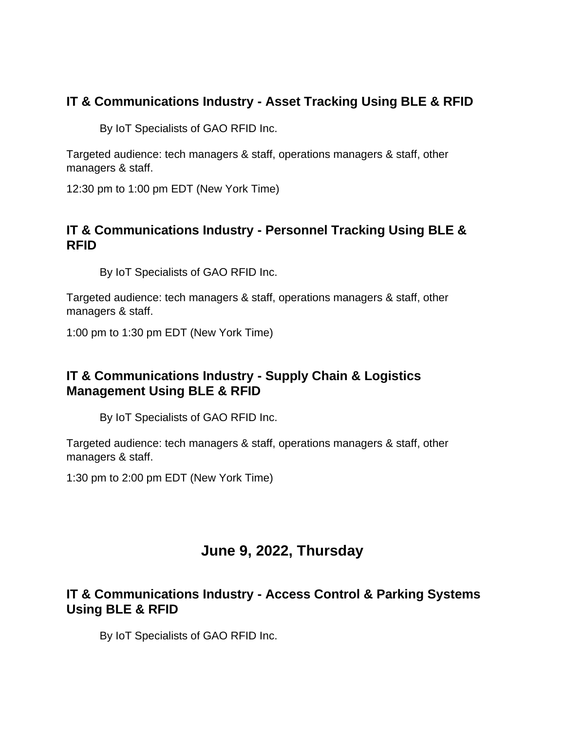# **IT & Communications Industry - Asset Tracking Using BLE & RFID**

By IoT Specialists of GAO RFID Inc.

Targeted audience: tech managers & staff, operations managers & staff, other managers & staff.

12:30 pm to 1:00 pm EDT (New York Time)

# **IT & Communications Industry - Personnel Tracking Using BLE & RFID**

By IoT Specialists of GAO RFID Inc.

Targeted audience: tech managers & staff, operations managers & staff, other managers & staff.

1:00 pm to 1:30 pm EDT (New York Time)

# **IT & Communications Industry - Supply Chain & Logistics Management Using BLE & RFID**

By IoT Specialists of GAO RFID Inc.

Targeted audience: tech managers & staff, operations managers & staff, other managers & staff.

1:30 pm to 2:00 pm EDT (New York Time)

# **June 9, 2022, Thursday**

# **IT & Communications Industry - Access Control & Parking Systems Using BLE & RFID**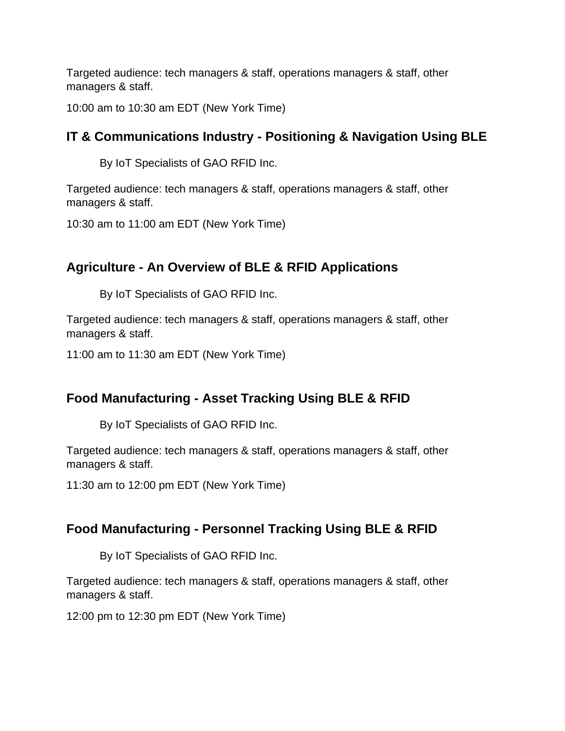10:00 am to 10:30 am EDT (New York Time)

# **IT & Communications Industry - Positioning & Navigation Using BLE**

By IoT Specialists of GAO RFID Inc.

Targeted audience: tech managers & staff, operations managers & staff, other managers & staff.

10:30 am to 11:00 am EDT (New York Time)

# **Agriculture - An Overview of BLE & RFID Applications**

By IoT Specialists of GAO RFID Inc.

Targeted audience: tech managers & staff, operations managers & staff, other managers & staff.

11:00 am to 11:30 am EDT (New York Time)

# **Food Manufacturing - Asset Tracking Using BLE & RFID**

By IoT Specialists of GAO RFID Inc.

Targeted audience: tech managers & staff, operations managers & staff, other managers & staff.

11:30 am to 12:00 pm EDT (New York Time)

# **Food Manufacturing - Personnel Tracking Using BLE & RFID**

By IoT Specialists of GAO RFID Inc.

Targeted audience: tech managers & staff, operations managers & staff, other managers & staff.

12:00 pm to 12:30 pm EDT (New York Time)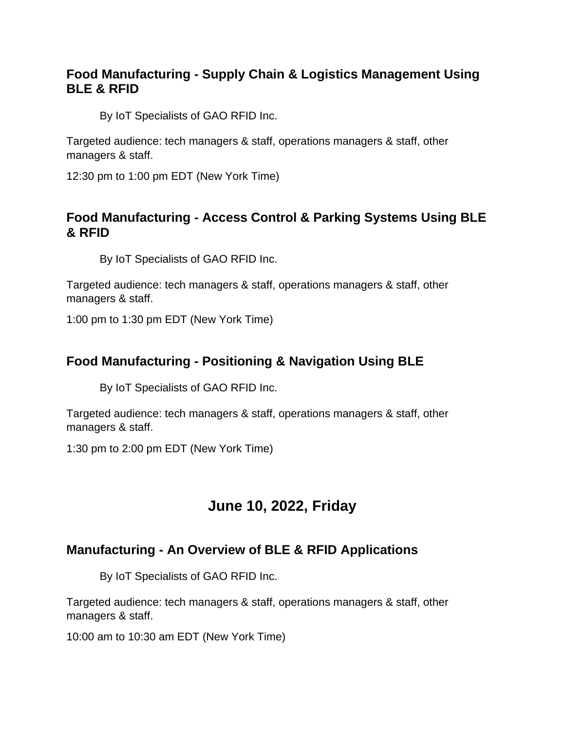# **Food Manufacturing - Supply Chain & Logistics Management Using BLE & RFID**

By IoT Specialists of GAO RFID Inc.

Targeted audience: tech managers & staff, operations managers & staff, other managers & staff.

12:30 pm to 1:00 pm EDT (New York Time)

### **Food Manufacturing - Access Control & Parking Systems Using BLE & RFID**

By IoT Specialists of GAO RFID Inc.

Targeted audience: tech managers & staff, operations managers & staff, other managers & staff.

1:00 pm to 1:30 pm EDT (New York Time)

# **Food Manufacturing - Positioning & Navigation Using BLE**

By IoT Specialists of GAO RFID Inc.

Targeted audience: tech managers & staff, operations managers & staff, other managers & staff.

1:30 pm to 2:00 pm EDT (New York Time)

# **June 10, 2022, Friday**

# **Manufacturing - An Overview of BLE & RFID Applications**

By IoT Specialists of GAO RFID Inc.

Targeted audience: tech managers & staff, operations managers & staff, other managers & staff.

10:00 am to 10:30 am EDT (New York Time)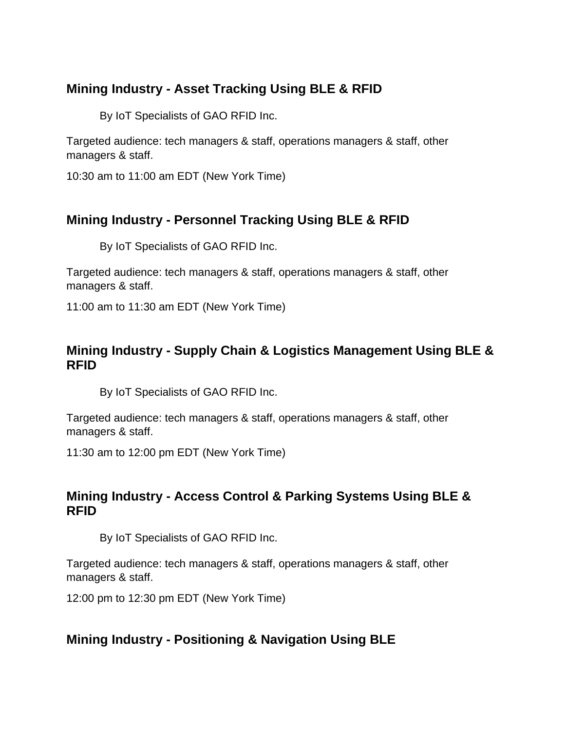# **Mining Industry - Asset Tracking Using BLE & RFID**

By IoT Specialists of GAO RFID Inc.

Targeted audience: tech managers & staff, operations managers & staff, other managers & staff.

10:30 am to 11:00 am EDT (New York Time)

# **Mining Industry - Personnel Tracking Using BLE & RFID**

By IoT Specialists of GAO RFID Inc.

Targeted audience: tech managers & staff, operations managers & staff, other managers & staff.

11:00 am to 11:30 am EDT (New York Time)

# **Mining Industry - Supply Chain & Logistics Management Using BLE & RFID**

By IoT Specialists of GAO RFID Inc.

Targeted audience: tech managers & staff, operations managers & staff, other managers & staff.

11:30 am to 12:00 pm EDT (New York Time)

# **Mining Industry - Access Control & Parking Systems Using BLE & RFID**

By IoT Specialists of GAO RFID Inc.

Targeted audience: tech managers & staff, operations managers & staff, other managers & staff.

12:00 pm to 12:30 pm EDT (New York Time)

# **Mining Industry - Positioning & Navigation Using BLE**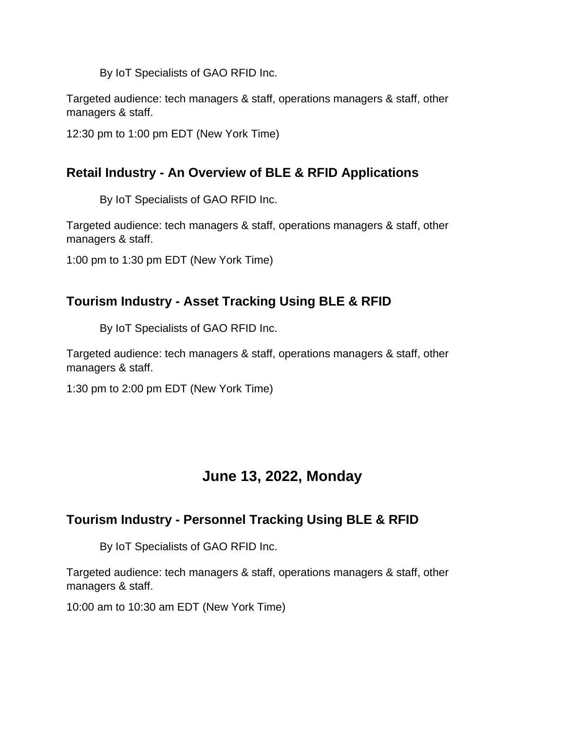Targeted audience: tech managers & staff, operations managers & staff, other managers & staff.

12:30 pm to 1:00 pm EDT (New York Time)

# **Retail Industry - An Overview of BLE & RFID Applications**

By IoT Specialists of GAO RFID Inc.

Targeted audience: tech managers & staff, operations managers & staff, other managers & staff.

1:00 pm to 1:30 pm EDT (New York Time)

# **Tourism Industry - Asset Tracking Using BLE & RFID**

By IoT Specialists of GAO RFID Inc.

Targeted audience: tech managers & staff, operations managers & staff, other managers & staff.

1:30 pm to 2:00 pm EDT (New York Time)

# **June 13, 2022, Monday**

# **Tourism Industry - Personnel Tracking Using BLE & RFID**

By IoT Specialists of GAO RFID Inc.

Targeted audience: tech managers & staff, operations managers & staff, other managers & staff.

10:00 am to 10:30 am EDT (New York Time)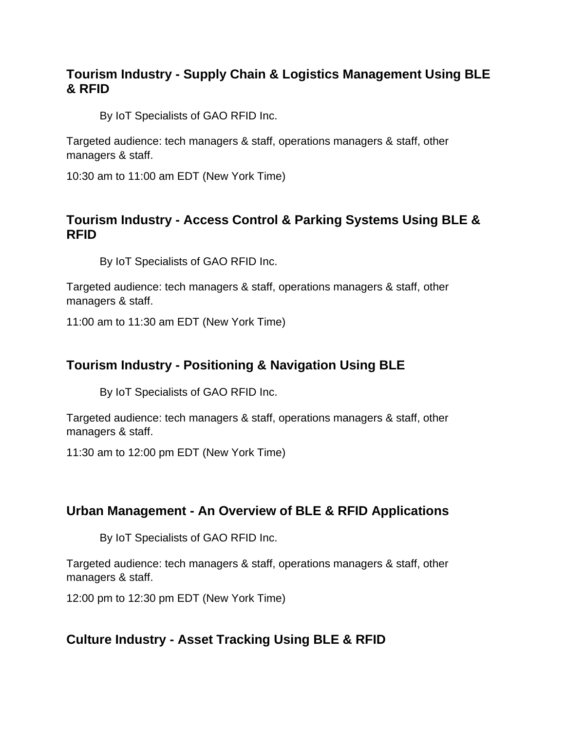# **Tourism Industry - Supply Chain & Logistics Management Using BLE & RFID**

By IoT Specialists of GAO RFID Inc.

Targeted audience: tech managers & staff, operations managers & staff, other managers & staff.

10:30 am to 11:00 am EDT (New York Time)

### **Tourism Industry - Access Control & Parking Systems Using BLE & RFID**

By IoT Specialists of GAO RFID Inc.

Targeted audience: tech managers & staff, operations managers & staff, other managers & staff.

11:00 am to 11:30 am EDT (New York Time)

# **Tourism Industry - Positioning & Navigation Using BLE**

By IoT Specialists of GAO RFID Inc.

Targeted audience: tech managers & staff, operations managers & staff, other managers & staff.

11:30 am to 12:00 pm EDT (New York Time)

#### **Urban Management - An Overview of BLE & RFID Applications**

By IoT Specialists of GAO RFID Inc.

Targeted audience: tech managers & staff, operations managers & staff, other managers & staff.

12:00 pm to 12:30 pm EDT (New York Time)

#### **Culture Industry - Asset Tracking Using BLE & RFID**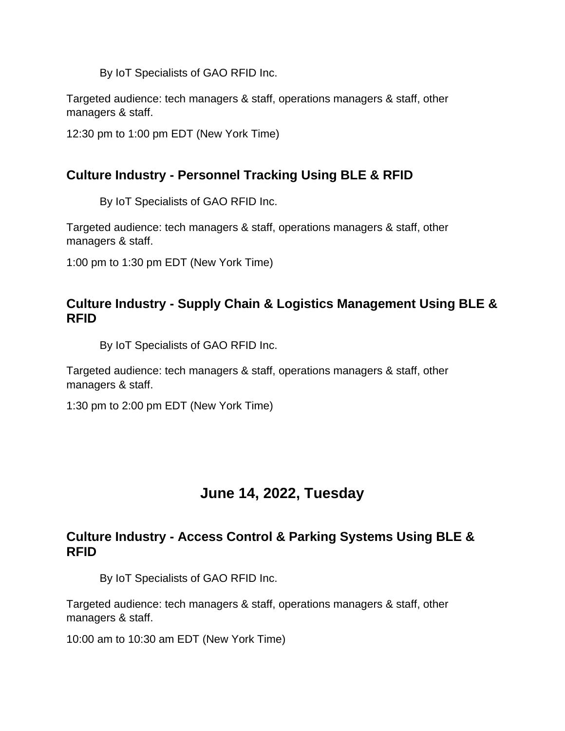Targeted audience: tech managers & staff, operations managers & staff, other managers & staff.

12:30 pm to 1:00 pm EDT (New York Time)

# **Culture Industry - Personnel Tracking Using BLE & RFID**

By IoT Specialists of GAO RFID Inc.

Targeted audience: tech managers & staff, operations managers & staff, other managers & staff.

1:00 pm to 1:30 pm EDT (New York Time)

### **Culture Industry - Supply Chain & Logistics Management Using BLE & RFID**

By IoT Specialists of GAO RFID Inc.

Targeted audience: tech managers & staff, operations managers & staff, other managers & staff.

1:30 pm to 2:00 pm EDT (New York Time)

# **June 14, 2022, Tuesday**

#### **Culture Industry - Access Control & Parking Systems Using BLE & RFID**

By IoT Specialists of GAO RFID Inc.

Targeted audience: tech managers & staff, operations managers & staff, other managers & staff.

10:00 am to 10:30 am EDT (New York Time)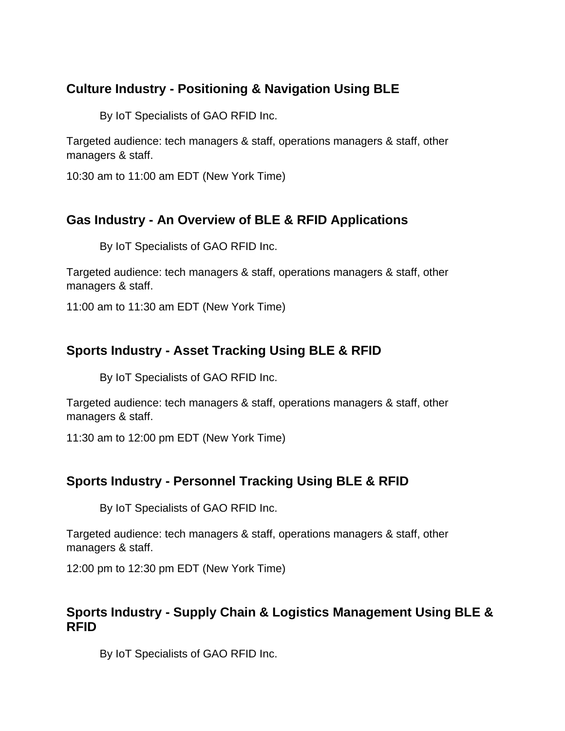# **Culture Industry - Positioning & Navigation Using BLE**

By IoT Specialists of GAO RFID Inc.

Targeted audience: tech managers & staff, operations managers & staff, other managers & staff.

10:30 am to 11:00 am EDT (New York Time)

# **Gas Industry - An Overview of BLE & RFID Applications**

By IoT Specialists of GAO RFID Inc.

Targeted audience: tech managers & staff, operations managers & staff, other managers & staff.

11:00 am to 11:30 am EDT (New York Time)

# **Sports Industry - Asset Tracking Using BLE & RFID**

By IoT Specialists of GAO RFID Inc.

Targeted audience: tech managers & staff, operations managers & staff, other managers & staff.

11:30 am to 12:00 pm EDT (New York Time)

# **Sports Industry - Personnel Tracking Using BLE & RFID**

By IoT Specialists of GAO RFID Inc.

Targeted audience: tech managers & staff, operations managers & staff, other managers & staff.

12:00 pm to 12:30 pm EDT (New York Time)

#### **Sports Industry - Supply Chain & Logistics Management Using BLE & RFID**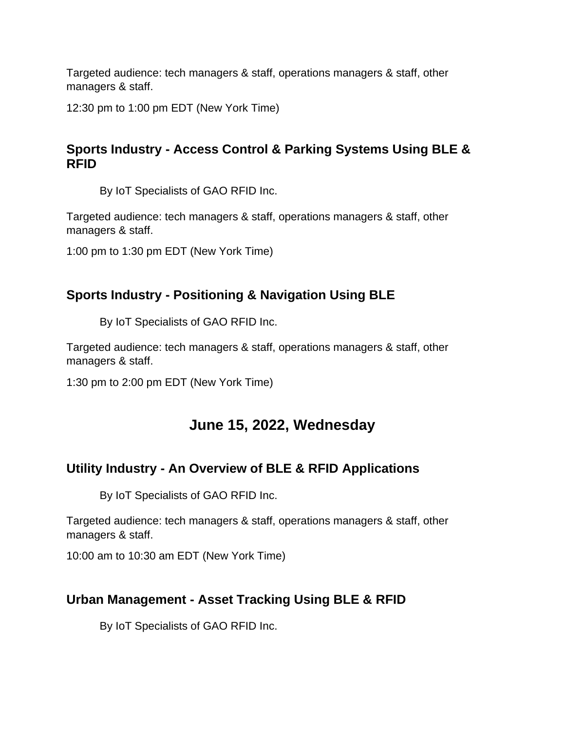12:30 pm to 1:00 pm EDT (New York Time)

# **Sports Industry - Access Control & Parking Systems Using BLE & RFID**

By IoT Specialists of GAO RFID Inc.

Targeted audience: tech managers & staff, operations managers & staff, other managers & staff.

1:00 pm to 1:30 pm EDT (New York Time)

# **Sports Industry - Positioning & Navigation Using BLE**

By IoT Specialists of GAO RFID Inc.

Targeted audience: tech managers & staff, operations managers & staff, other managers & staff.

1:30 pm to 2:00 pm EDT (New York Time)

# **June 15, 2022, Wednesday**

# **Utility Industry - An Overview of BLE & RFID Applications**

By IoT Specialists of GAO RFID Inc.

Targeted audience: tech managers & staff, operations managers & staff, other managers & staff.

10:00 am to 10:30 am EDT (New York Time)

# **Urban Management - Asset Tracking Using BLE & RFID**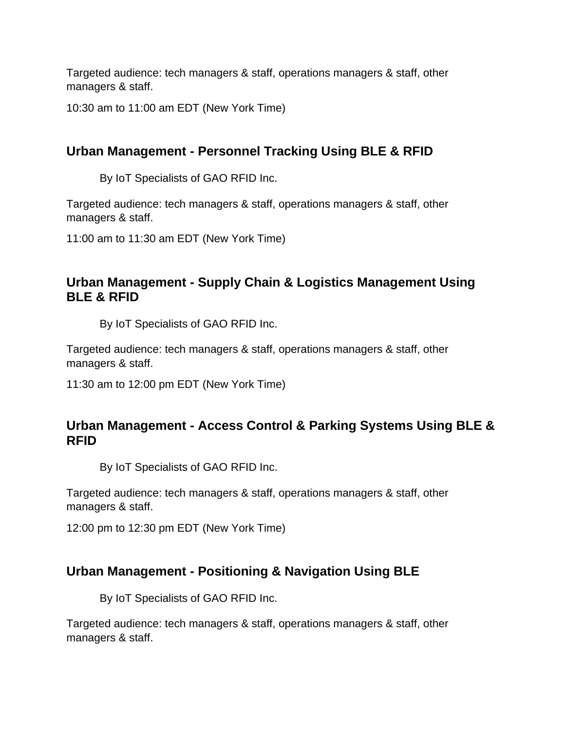10:30 am to 11:00 am EDT (New York Time)

# **Urban Management - Personnel Tracking Using BLE & RFID**

By IoT Specialists of GAO RFID Inc.

Targeted audience: tech managers & staff, operations managers & staff, other managers & staff.

11:00 am to 11:30 am EDT (New York Time)

### **Urban Management - Supply Chain & Logistics Management Using BLE & RFID**

By IoT Specialists of GAO RFID Inc.

Targeted audience: tech managers & staff, operations managers & staff, other managers & staff.

11:30 am to 12:00 pm EDT (New York Time)

# **Urban Management - Access Control & Parking Systems Using BLE & RFID**

By IoT Specialists of GAO RFID Inc.

Targeted audience: tech managers & staff, operations managers & staff, other managers & staff.

12:00 pm to 12:30 pm EDT (New York Time)

#### **Urban Management - Positioning & Navigation Using BLE**

By IoT Specialists of GAO RFID Inc.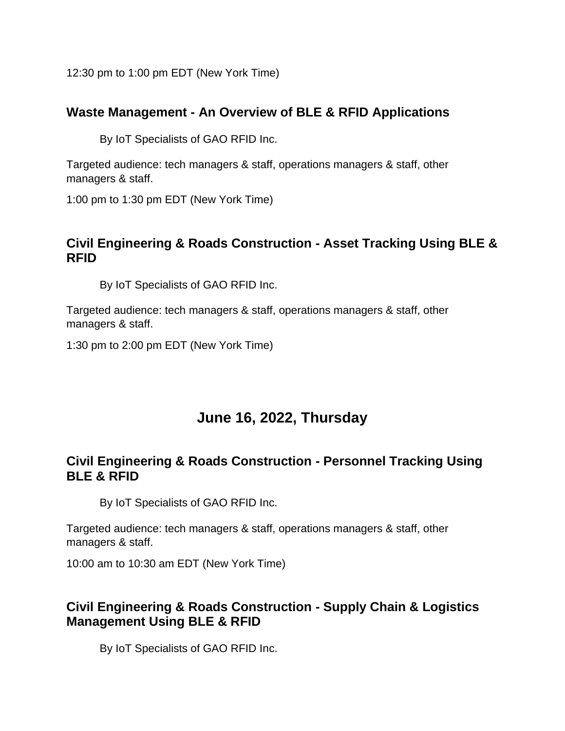12:30 pm to 1:00 pm EDT (New York Time)

# **Waste Management - An Overview of BLE & RFID Applications**

By IoT Specialists of GAO RFID Inc.

Targeted audience: tech managers & staff, operations managers & staff, other managers & staff.

1:00 pm to 1:30 pm EDT (New York Time)

#### **Civil Engineering & Roads Construction - Asset Tracking Using BLE & RFID**

By IoT Specialists of GAO RFID Inc.

Targeted audience: tech managers & staff, operations managers & staff, other managers & staff.

1:30 pm to 2:00 pm EDT (New York Time)

# **June 16, 2022, Thursday**

# **Civil Engineering & Roads Construction - Personnel Tracking Using BLE & RFID**

By IoT Specialists of GAO RFID Inc.

Targeted audience: tech managers & staff, operations managers & staff, other managers & staff.

10:00 am to 10:30 am EDT (New York Time)

# **Civil Engineering & Roads Construction - Supply Chain & Logistics Management Using BLE & RFID**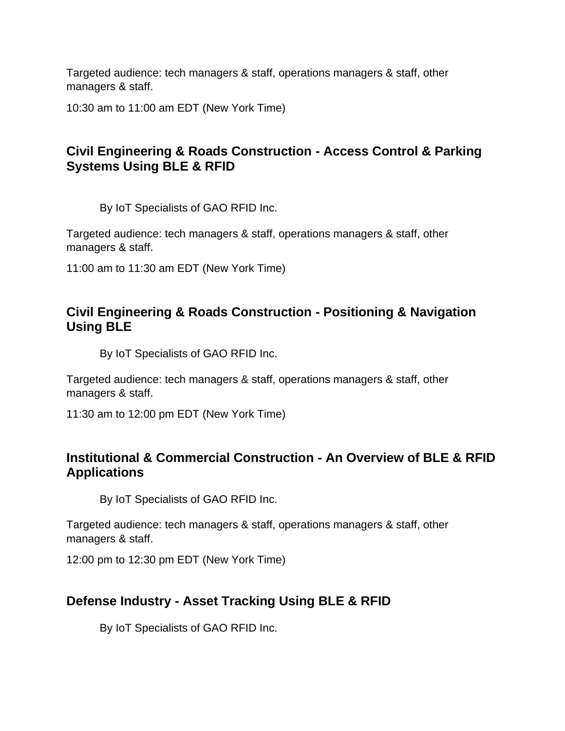10:30 am to 11:00 am EDT (New York Time)

# **Civil Engineering & Roads Construction - Access Control & Parking Systems Using BLE & RFID**

By IoT Specialists of GAO RFID Inc.

Targeted audience: tech managers & staff, operations managers & staff, other managers & staff.

11:00 am to 11:30 am EDT (New York Time)

### **Civil Engineering & Roads Construction - Positioning & Navigation Using BLE**

By IoT Specialists of GAO RFID Inc.

Targeted audience: tech managers & staff, operations managers & staff, other managers & staff.

11:30 am to 12:00 pm EDT (New York Time)

#### **Institutional & Commercial Construction - An Overview of BLE & RFID Applications**

By IoT Specialists of GAO RFID Inc.

Targeted audience: tech managers & staff, operations managers & staff, other managers & staff.

12:00 pm to 12:30 pm EDT (New York Time)

# **Defense Industry - Asset Tracking Using BLE & RFID**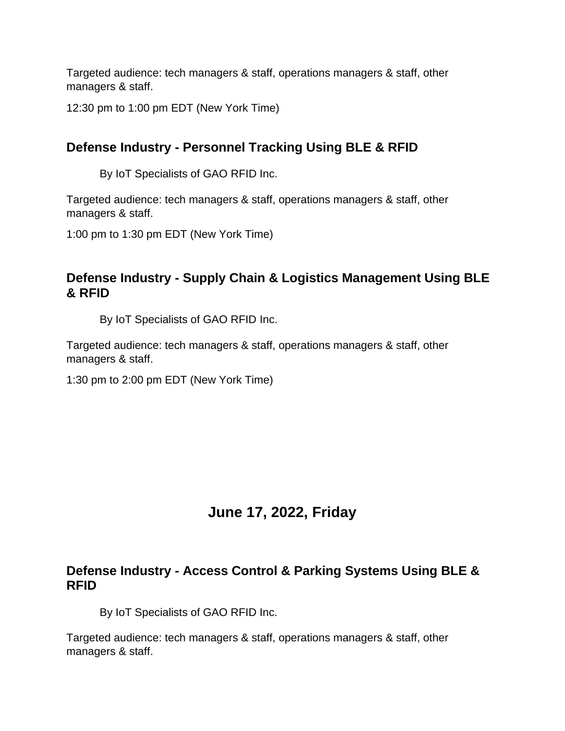12:30 pm to 1:00 pm EDT (New York Time)

# **Defense Industry - Personnel Tracking Using BLE & RFID**

By IoT Specialists of GAO RFID Inc.

Targeted audience: tech managers & staff, operations managers & staff, other managers & staff.

1:00 pm to 1:30 pm EDT (New York Time)

# **Defense Industry - Supply Chain & Logistics Management Using BLE & RFID**

By IoT Specialists of GAO RFID Inc.

Targeted audience: tech managers & staff, operations managers & staff, other managers & staff.

1:30 pm to 2:00 pm EDT (New York Time)

# **June 17, 2022, Friday**

#### **Defense Industry - Access Control & Parking Systems Using BLE & RFID**

By IoT Specialists of GAO RFID Inc.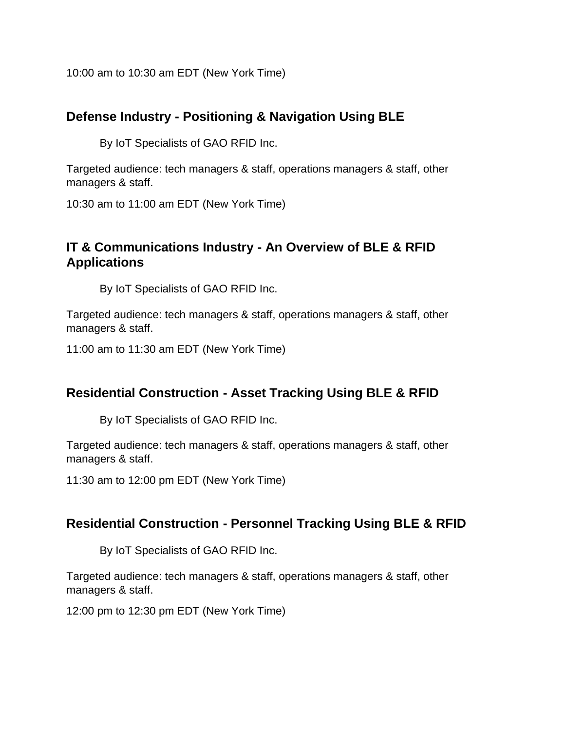10:00 am to 10:30 am EDT (New York Time)

# **Defense Industry - Positioning & Navigation Using BLE**

By IoT Specialists of GAO RFID Inc.

Targeted audience: tech managers & staff, operations managers & staff, other managers & staff.

10:30 am to 11:00 am EDT (New York Time)

### **IT & Communications Industry - An Overview of BLE & RFID Applications**

By IoT Specialists of GAO RFID Inc.

Targeted audience: tech managers & staff, operations managers & staff, other managers & staff.

11:00 am to 11:30 am EDT (New York Time)

# **Residential Construction - Asset Tracking Using BLE & RFID**

By IoT Specialists of GAO RFID Inc.

Targeted audience: tech managers & staff, operations managers & staff, other managers & staff.

11:30 am to 12:00 pm EDT (New York Time)

### **Residential Construction - Personnel Tracking Using BLE & RFID**

By IoT Specialists of GAO RFID Inc.

Targeted audience: tech managers & staff, operations managers & staff, other managers & staff.

12:00 pm to 12:30 pm EDT (New York Time)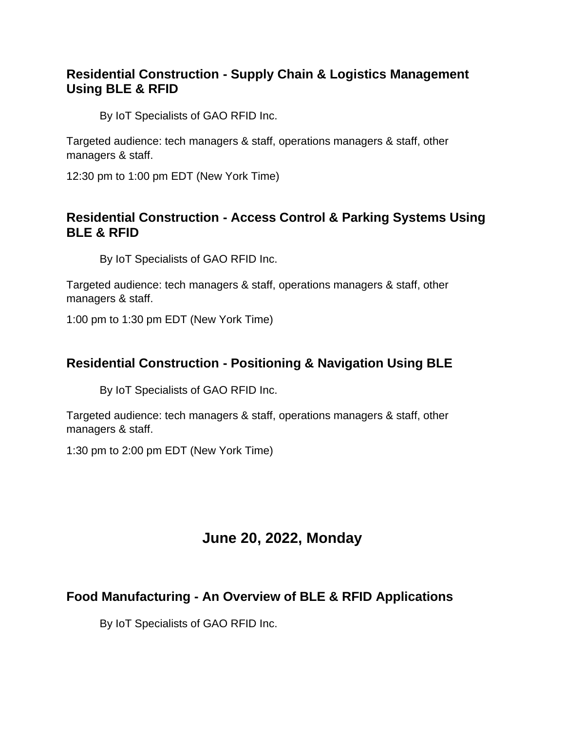# **Residential Construction - Supply Chain & Logistics Management Using BLE & RFID**

By IoT Specialists of GAO RFID Inc.

Targeted audience: tech managers & staff, operations managers & staff, other managers & staff.

12:30 pm to 1:00 pm EDT (New York Time)

# **Residential Construction - Access Control & Parking Systems Using BLE & RFID**

By IoT Specialists of GAO RFID Inc.

Targeted audience: tech managers & staff, operations managers & staff, other managers & staff.

1:00 pm to 1:30 pm EDT (New York Time)

#### **Residential Construction - Positioning & Navigation Using BLE**

By IoT Specialists of GAO RFID Inc.

Targeted audience: tech managers & staff, operations managers & staff, other managers & staff.

1:30 pm to 2:00 pm EDT (New York Time)

# **June 20, 2022, Monday**

# **Food Manufacturing - An Overview of BLE & RFID Applications**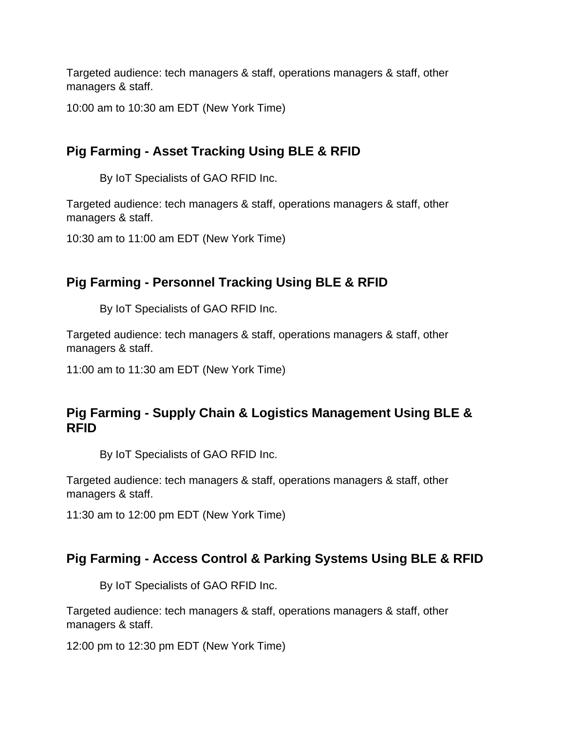10:00 am to 10:30 am EDT (New York Time)

# **Pig Farming - Asset Tracking Using BLE & RFID**

By IoT Specialists of GAO RFID Inc.

Targeted audience: tech managers & staff, operations managers & staff, other managers & staff.

10:30 am to 11:00 am EDT (New York Time)

# **Pig Farming - Personnel Tracking Using BLE & RFID**

By IoT Specialists of GAO RFID Inc.

Targeted audience: tech managers & staff, operations managers & staff, other managers & staff.

11:00 am to 11:30 am EDT (New York Time)

# **Pig Farming - Supply Chain & Logistics Management Using BLE & RFID**

By IoT Specialists of GAO RFID Inc.

Targeted audience: tech managers & staff, operations managers & staff, other managers & staff.

11:30 am to 12:00 pm EDT (New York Time)

# **Pig Farming - Access Control & Parking Systems Using BLE & RFID**

By IoT Specialists of GAO RFID Inc.

Targeted audience: tech managers & staff, operations managers & staff, other managers & staff.

12:00 pm to 12:30 pm EDT (New York Time)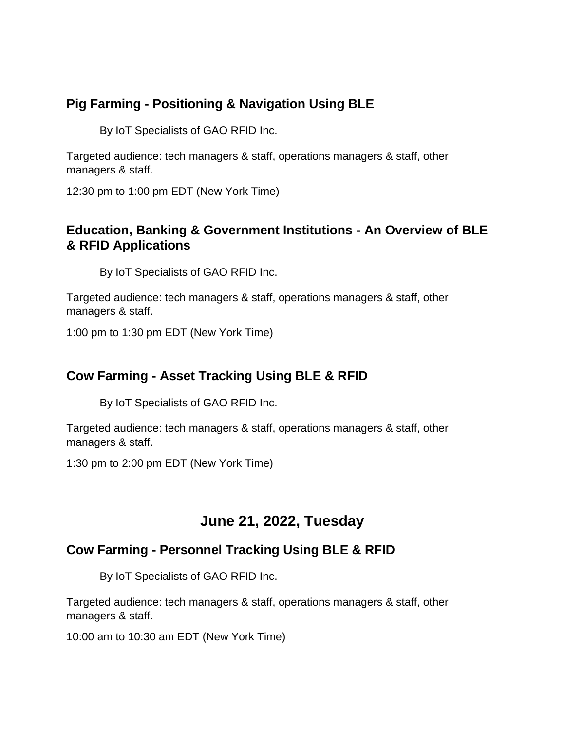# **Pig Farming - Positioning & Navigation Using BLE**

By IoT Specialists of GAO RFID Inc.

Targeted audience: tech managers & staff, operations managers & staff, other managers & staff.

12:30 pm to 1:00 pm EDT (New York Time)

### **Education, Banking & Government Institutions - An Overview of BLE & RFID Applications**

By IoT Specialists of GAO RFID Inc.

Targeted audience: tech managers & staff, operations managers & staff, other managers & staff.

1:00 pm to 1:30 pm EDT (New York Time)

# **Cow Farming - Asset Tracking Using BLE & RFID**

By IoT Specialists of GAO RFID Inc.

Targeted audience: tech managers & staff, operations managers & staff, other managers & staff.

1:30 pm to 2:00 pm EDT (New York Time)

# **June 21, 2022, Tuesday**

# **Cow Farming - Personnel Tracking Using BLE & RFID**

By IoT Specialists of GAO RFID Inc.

Targeted audience: tech managers & staff, operations managers & staff, other managers & staff.

10:00 am to 10:30 am EDT (New York Time)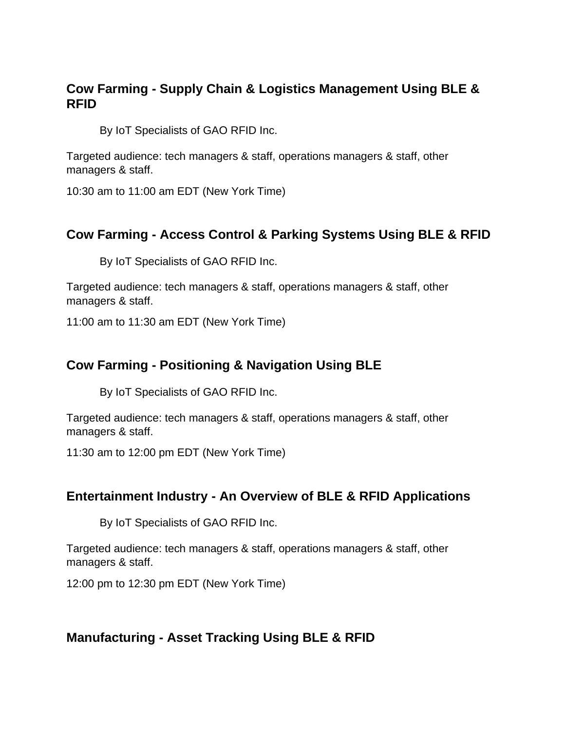### **Cow Farming - Supply Chain & Logistics Management Using BLE & RFID**

By IoT Specialists of GAO RFID Inc.

Targeted audience: tech managers & staff, operations managers & staff, other managers & staff.

10:30 am to 11:00 am EDT (New York Time)

#### **Cow Farming - Access Control & Parking Systems Using BLE & RFID**

By IoT Specialists of GAO RFID Inc.

Targeted audience: tech managers & staff, operations managers & staff, other managers & staff.

11:00 am to 11:30 am EDT (New York Time)

#### **Cow Farming - Positioning & Navigation Using BLE**

By IoT Specialists of GAO RFID Inc.

Targeted audience: tech managers & staff, operations managers & staff, other managers & staff.

11:30 am to 12:00 pm EDT (New York Time)

#### **Entertainment Industry - An Overview of BLE & RFID Applications**

By IoT Specialists of GAO RFID Inc.

Targeted audience: tech managers & staff, operations managers & staff, other managers & staff.

12:00 pm to 12:30 pm EDT (New York Time)

#### **Manufacturing - Asset Tracking Using BLE & RFID**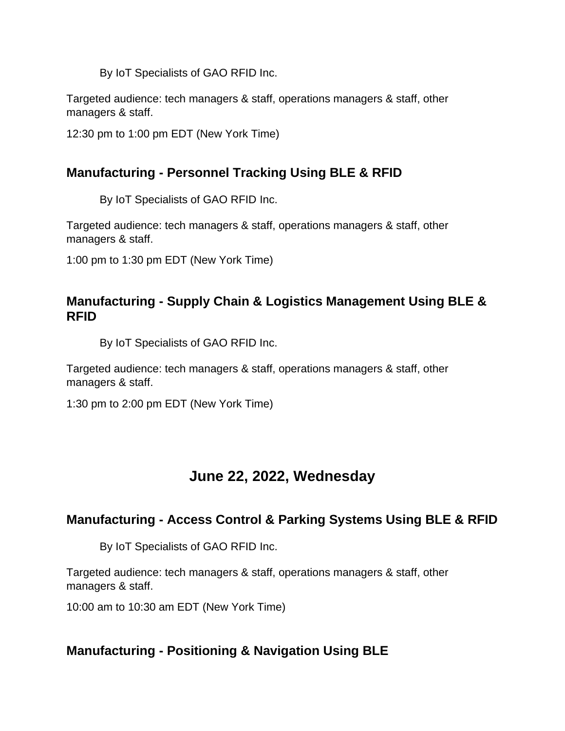Targeted audience: tech managers & staff, operations managers & staff, other managers & staff.

12:30 pm to 1:00 pm EDT (New York Time)

### **Manufacturing - Personnel Tracking Using BLE & RFID**

By IoT Specialists of GAO RFID Inc.

Targeted audience: tech managers & staff, operations managers & staff, other managers & staff.

1:00 pm to 1:30 pm EDT (New York Time)

#### **Manufacturing - Supply Chain & Logistics Management Using BLE & RFID**

By IoT Specialists of GAO RFID Inc.

Targeted audience: tech managers & staff, operations managers & staff, other managers & staff.

1:30 pm to 2:00 pm EDT (New York Time)

# **June 22, 2022, Wednesday**

#### **Manufacturing - Access Control & Parking Systems Using BLE & RFID**

By IoT Specialists of GAO RFID Inc.

Targeted audience: tech managers & staff, operations managers & staff, other managers & staff.

10:00 am to 10:30 am EDT (New York Time)

# **Manufacturing - Positioning & Navigation Using BLE**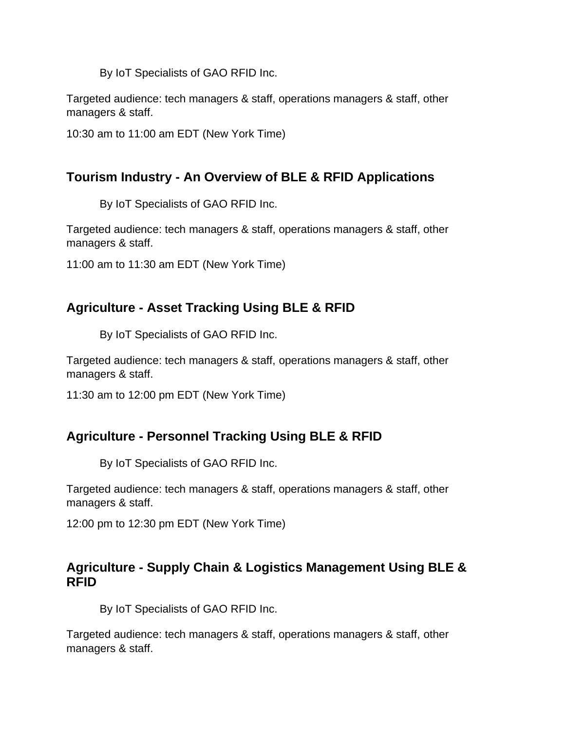Targeted audience: tech managers & staff, operations managers & staff, other managers & staff.

10:30 am to 11:00 am EDT (New York Time)

# **Tourism Industry - An Overview of BLE & RFID Applications**

By IoT Specialists of GAO RFID Inc.

Targeted audience: tech managers & staff, operations managers & staff, other managers & staff.

11:00 am to 11:30 am EDT (New York Time)

# **Agriculture - Asset Tracking Using BLE & RFID**

By IoT Specialists of GAO RFID Inc.

Targeted audience: tech managers & staff, operations managers & staff, other managers & staff.

11:30 am to 12:00 pm EDT (New York Time)

# **Agriculture - Personnel Tracking Using BLE & RFID**

By IoT Specialists of GAO RFID Inc.

Targeted audience: tech managers & staff, operations managers & staff, other managers & staff.

12:00 pm to 12:30 pm EDT (New York Time)

#### **Agriculture - Supply Chain & Logistics Management Using BLE & RFID**

By IoT Specialists of GAO RFID Inc.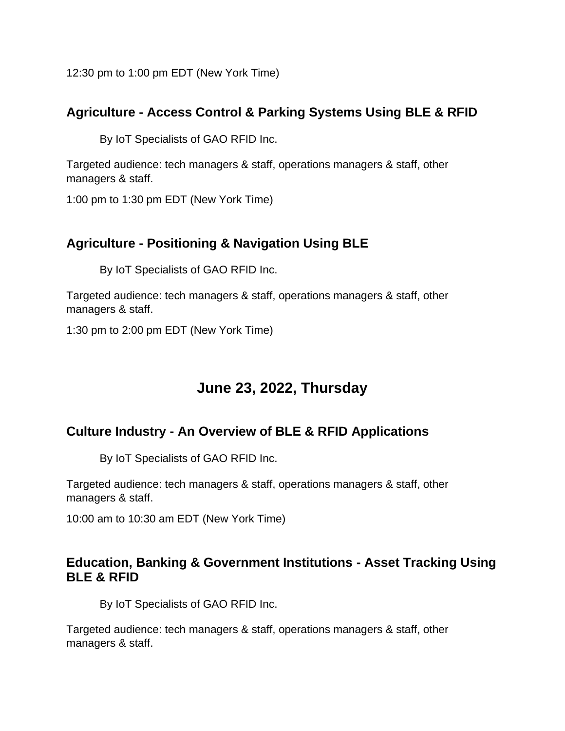12:30 pm to 1:00 pm EDT (New York Time)

# **Agriculture - Access Control & Parking Systems Using BLE & RFID**

By IoT Specialists of GAO RFID Inc.

Targeted audience: tech managers & staff, operations managers & staff, other managers & staff.

1:00 pm to 1:30 pm EDT (New York Time)

# **Agriculture - Positioning & Navigation Using BLE**

By IoT Specialists of GAO RFID Inc.

Targeted audience: tech managers & staff, operations managers & staff, other managers & staff.

1:30 pm to 2:00 pm EDT (New York Time)

# **June 23, 2022, Thursday**

# **Culture Industry - An Overview of BLE & RFID Applications**

By IoT Specialists of GAO RFID Inc.

Targeted audience: tech managers & staff, operations managers & staff, other managers & staff.

10:00 am to 10:30 am EDT (New York Time)

#### **Education, Banking & Government Institutions - Asset Tracking Using BLE & RFID**

By IoT Specialists of GAO RFID Inc.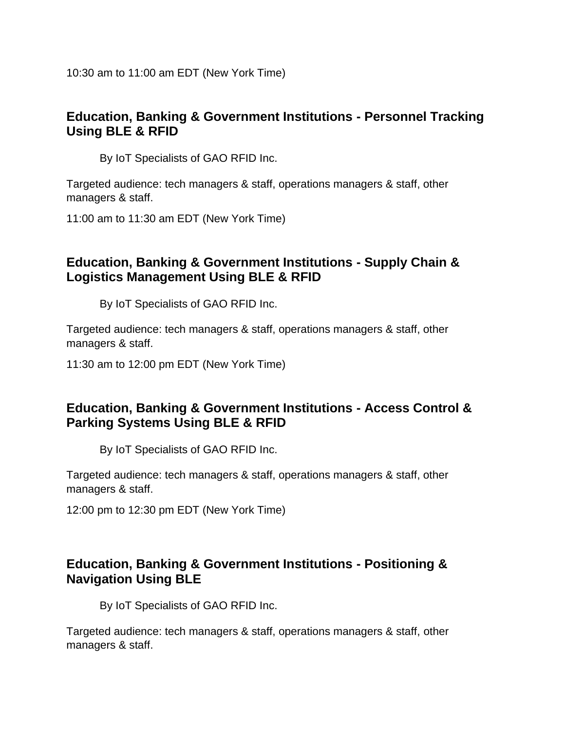10:30 am to 11:00 am EDT (New York Time)

#### **Education, Banking & Government Institutions - Personnel Tracking Using BLE & RFID**

By IoT Specialists of GAO RFID Inc.

Targeted audience: tech managers & staff, operations managers & staff, other managers & staff.

11:00 am to 11:30 am EDT (New York Time)

# **Education, Banking & Government Institutions - Supply Chain & Logistics Management Using BLE & RFID**

By IoT Specialists of GAO RFID Inc.

Targeted audience: tech managers & staff, operations managers & staff, other managers & staff.

11:30 am to 12:00 pm EDT (New York Time)

#### **Education, Banking & Government Institutions - Access Control & Parking Systems Using BLE & RFID**

By IoT Specialists of GAO RFID Inc.

Targeted audience: tech managers & staff, operations managers & staff, other managers & staff.

12:00 pm to 12:30 pm EDT (New York Time)

#### **Education, Banking & Government Institutions - Positioning & Navigation Using BLE**

By IoT Specialists of GAO RFID Inc.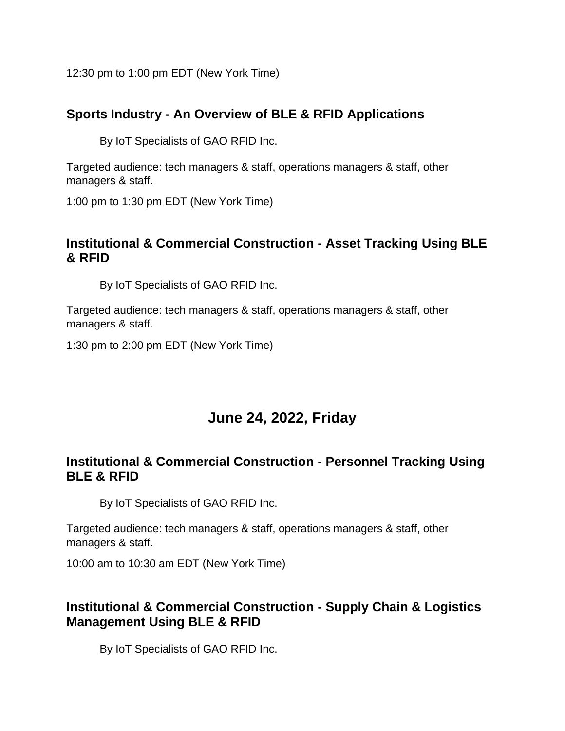12:30 pm to 1:00 pm EDT (New York Time)

# **Sports Industry - An Overview of BLE & RFID Applications**

By IoT Specialists of GAO RFID Inc.

Targeted audience: tech managers & staff, operations managers & staff, other managers & staff.

1:00 pm to 1:30 pm EDT (New York Time)

#### **Institutional & Commercial Construction - Asset Tracking Using BLE & RFID**

By IoT Specialists of GAO RFID Inc.

Targeted audience: tech managers & staff, operations managers & staff, other managers & staff.

1:30 pm to 2:00 pm EDT (New York Time)

# **June 24, 2022, Friday**

# **Institutional & Commercial Construction - Personnel Tracking Using BLE & RFID**

By IoT Specialists of GAO RFID Inc.

Targeted audience: tech managers & staff, operations managers & staff, other managers & staff.

10:00 am to 10:30 am EDT (New York Time)

# **Institutional & Commercial Construction - Supply Chain & Logistics Management Using BLE & RFID**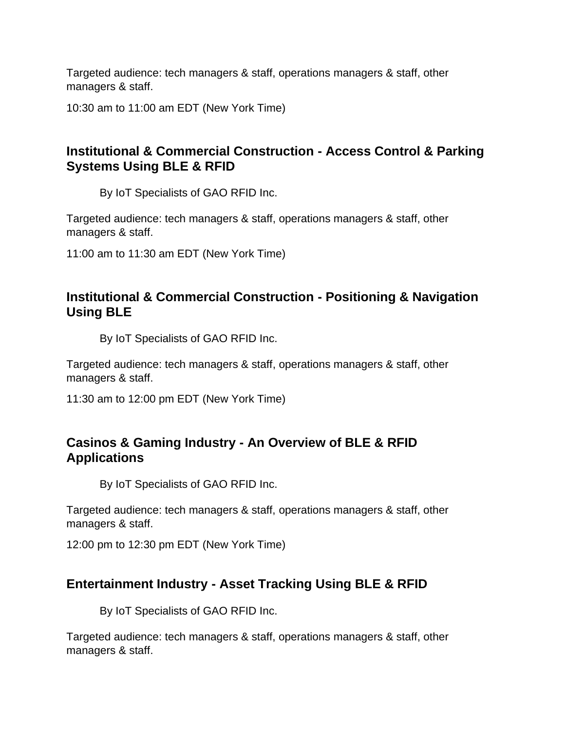10:30 am to 11:00 am EDT (New York Time)

# **Institutional & Commercial Construction - Access Control & Parking Systems Using BLE & RFID**

By IoT Specialists of GAO RFID Inc.

Targeted audience: tech managers & staff, operations managers & staff, other managers & staff.

11:00 am to 11:30 am EDT (New York Time)

#### **Institutional & Commercial Construction - Positioning & Navigation Using BLE**

By IoT Specialists of GAO RFID Inc.

Targeted audience: tech managers & staff, operations managers & staff, other managers & staff.

11:30 am to 12:00 pm EDT (New York Time)

# **Casinos & Gaming Industry - An Overview of BLE & RFID Applications**

By IoT Specialists of GAO RFID Inc.

Targeted audience: tech managers & staff, operations managers & staff, other managers & staff.

12:00 pm to 12:30 pm EDT (New York Time)

# **Entertainment Industry - Asset Tracking Using BLE & RFID**

By IoT Specialists of GAO RFID Inc.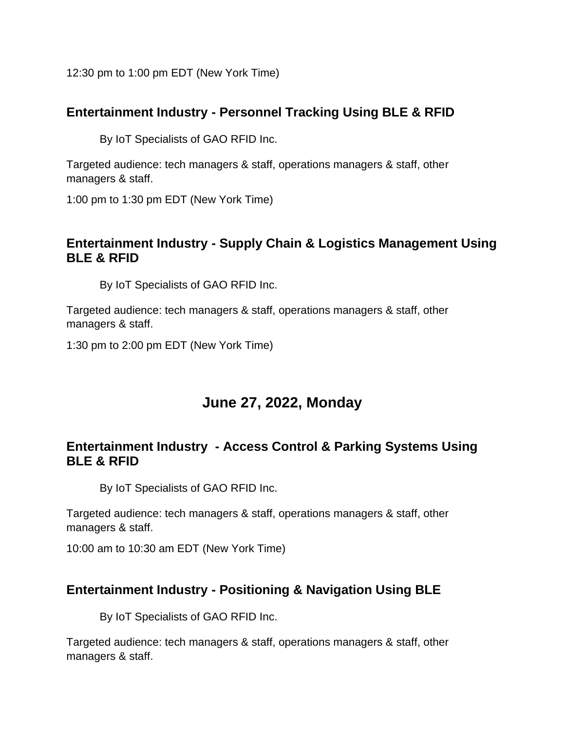12:30 pm to 1:00 pm EDT (New York Time)

### **Entertainment Industry - Personnel Tracking Using BLE & RFID**

By IoT Specialists of GAO RFID Inc.

Targeted audience: tech managers & staff, operations managers & staff, other managers & staff.

1:00 pm to 1:30 pm EDT (New York Time)

#### **Entertainment Industry - Supply Chain & Logistics Management Using BLE & RFID**

By IoT Specialists of GAO RFID Inc.

Targeted audience: tech managers & staff, operations managers & staff, other managers & staff.

1:30 pm to 2:00 pm EDT (New York Time)

# **June 27, 2022, Monday**

# **Entertainment Industry - Access Control & Parking Systems Using BLE & RFID**

By IoT Specialists of GAO RFID Inc.

Targeted audience: tech managers & staff, operations managers & staff, other managers & staff.

10:00 am to 10:30 am EDT (New York Time)

# **Entertainment Industry - Positioning & Navigation Using BLE**

By IoT Specialists of GAO RFID Inc.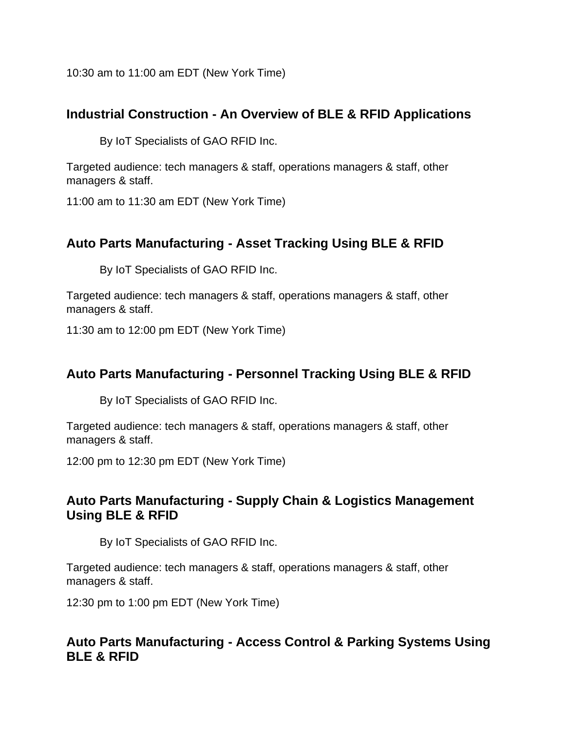10:30 am to 11:00 am EDT (New York Time)

### **Industrial Construction - An Overview of BLE & RFID Applications**

By IoT Specialists of GAO RFID Inc.

Targeted audience: tech managers & staff, operations managers & staff, other managers & staff.

11:00 am to 11:30 am EDT (New York Time)

# **Auto Parts Manufacturing - Asset Tracking Using BLE & RFID**

By IoT Specialists of GAO RFID Inc.

Targeted audience: tech managers & staff, operations managers & staff, other managers & staff.

11:30 am to 12:00 pm EDT (New York Time)

#### **Auto Parts Manufacturing - Personnel Tracking Using BLE & RFID**

By IoT Specialists of GAO RFID Inc.

Targeted audience: tech managers & staff, operations managers & staff, other managers & staff.

12:00 pm to 12:30 pm EDT (New York Time)

#### **Auto Parts Manufacturing - Supply Chain & Logistics Management Using BLE & RFID**

By IoT Specialists of GAO RFID Inc.

Targeted audience: tech managers & staff, operations managers & staff, other managers & staff.

12:30 pm to 1:00 pm EDT (New York Time)

#### **Auto Parts Manufacturing - Access Control & Parking Systems Using BLE & RFID**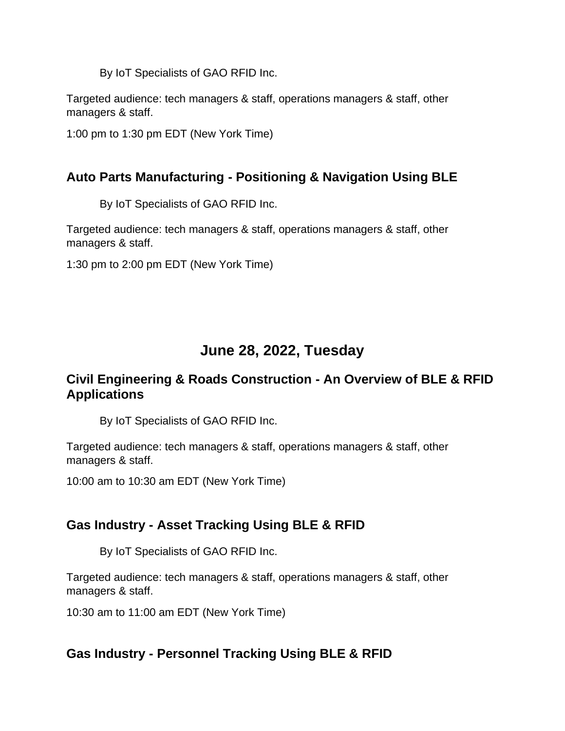Targeted audience: tech managers & staff, operations managers & staff, other managers & staff.

1:00 pm to 1:30 pm EDT (New York Time)

# **Auto Parts Manufacturing - Positioning & Navigation Using BLE**

By IoT Specialists of GAO RFID Inc.

Targeted audience: tech managers & staff, operations managers & staff, other managers & staff.

1:30 pm to 2:00 pm EDT (New York Time)

# **June 28, 2022, Tuesday**

# **Civil Engineering & Roads Construction - An Overview of BLE & RFID Applications**

By IoT Specialists of GAO RFID Inc.

Targeted audience: tech managers & staff, operations managers & staff, other managers & staff.

10:00 am to 10:30 am EDT (New York Time)

# **Gas Industry - Asset Tracking Using BLE & RFID**

By IoT Specialists of GAO RFID Inc.

Targeted audience: tech managers & staff, operations managers & staff, other managers & staff.

10:30 am to 11:00 am EDT (New York Time)

# **Gas Industry - Personnel Tracking Using BLE & RFID**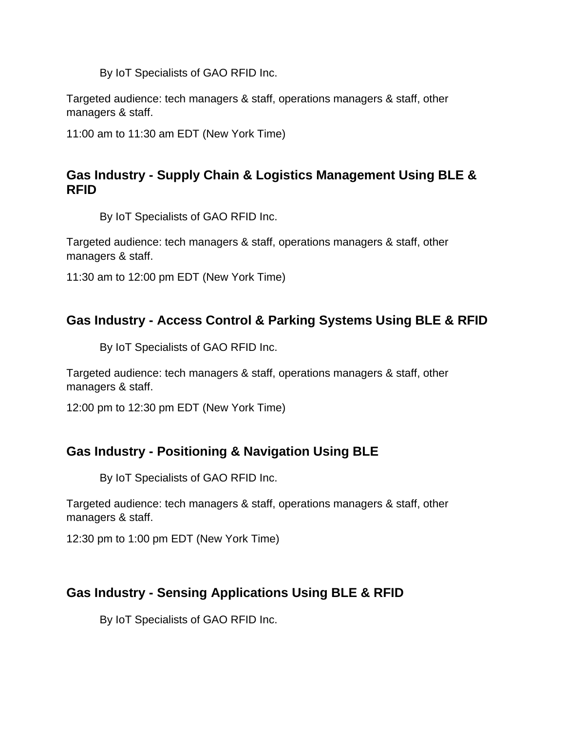Targeted audience: tech managers & staff, operations managers & staff, other managers & staff.

11:00 am to 11:30 am EDT (New York Time)

# **Gas Industry - Supply Chain & Logistics Management Using BLE & RFID**

By IoT Specialists of GAO RFID Inc.

Targeted audience: tech managers & staff, operations managers & staff, other managers & staff.

11:30 am to 12:00 pm EDT (New York Time)

# **Gas Industry - Access Control & Parking Systems Using BLE & RFID**

By IoT Specialists of GAO RFID Inc.

Targeted audience: tech managers & staff, operations managers & staff, other managers & staff.

12:00 pm to 12:30 pm EDT (New York Time)

# **Gas Industry - Positioning & Navigation Using BLE**

By IoT Specialists of GAO RFID Inc.

Targeted audience: tech managers & staff, operations managers & staff, other managers & staff.

12:30 pm to 1:00 pm EDT (New York Time)

# **Gas Industry - Sensing Applications Using BLE & RFID**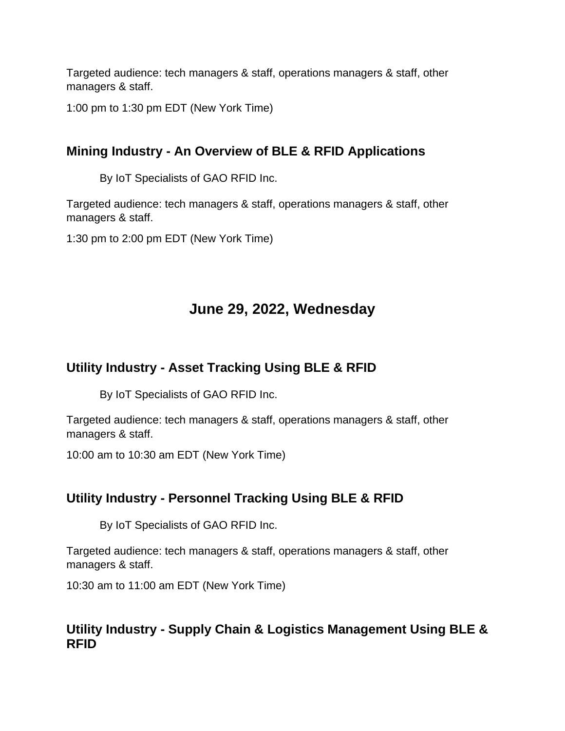1:00 pm to 1:30 pm EDT (New York Time)

# **Mining Industry - An Overview of BLE & RFID Applications**

By IoT Specialists of GAO RFID Inc.

Targeted audience: tech managers & staff, operations managers & staff, other managers & staff.

1:30 pm to 2:00 pm EDT (New York Time)

# **June 29, 2022, Wednesday**

# **Utility Industry - Asset Tracking Using BLE & RFID**

By IoT Specialists of GAO RFID Inc.

Targeted audience: tech managers & staff, operations managers & staff, other managers & staff.

10:00 am to 10:30 am EDT (New York Time)

# **Utility Industry - Personnel Tracking Using BLE & RFID**

By IoT Specialists of GAO RFID Inc.

Targeted audience: tech managers & staff, operations managers & staff, other managers & staff.

10:30 am to 11:00 am EDT (New York Time)

# **Utility Industry - Supply Chain & Logistics Management Using BLE & RFID**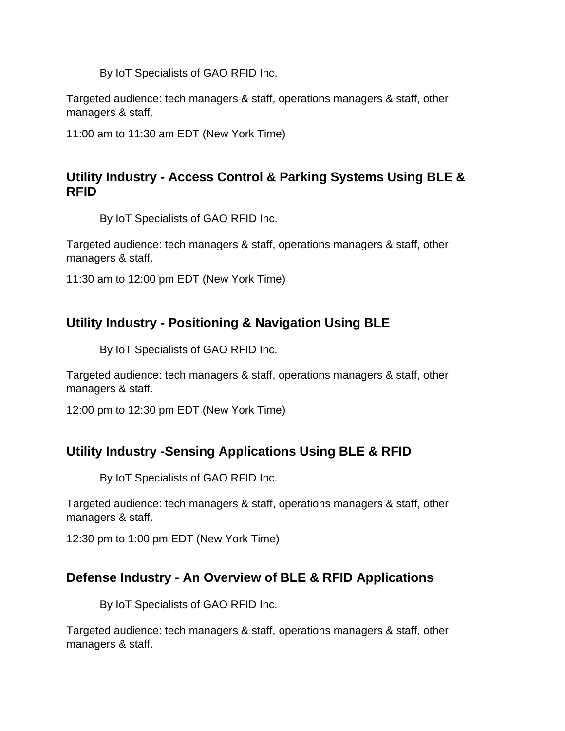Targeted audience: tech managers & staff, operations managers & staff, other managers & staff.

11:00 am to 11:30 am EDT (New York Time)

# **Utility Industry - Access Control & Parking Systems Using BLE & RFID**

By IoT Specialists of GAO RFID Inc.

Targeted audience: tech managers & staff, operations managers & staff, other managers & staff.

11:30 am to 12:00 pm EDT (New York Time)

# **Utility Industry - Positioning & Navigation Using BLE**

By IoT Specialists of GAO RFID Inc.

Targeted audience: tech managers & staff, operations managers & staff, other managers & staff.

12:00 pm to 12:30 pm EDT (New York Time)

# **Utility Industry -Sensing Applications Using BLE & RFID**

By IoT Specialists of GAO RFID Inc.

Targeted audience: tech managers & staff, operations managers & staff, other managers & staff.

12:30 pm to 1:00 pm EDT (New York Time)

# **Defense Industry - An Overview of BLE & RFID Applications**

By IoT Specialists of GAO RFID Inc.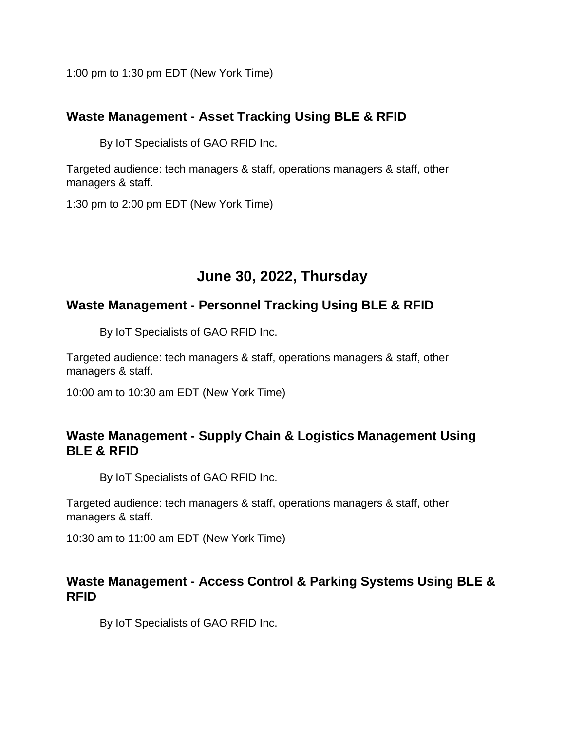1:00 pm to 1:30 pm EDT (New York Time)

### **Waste Management - Asset Tracking Using BLE & RFID**

By IoT Specialists of GAO RFID Inc.

Targeted audience: tech managers & staff, operations managers & staff, other managers & staff.

1:30 pm to 2:00 pm EDT (New York Time)

# **June 30, 2022, Thursday**

#### **Waste Management - Personnel Tracking Using BLE & RFID**

By IoT Specialists of GAO RFID Inc.

Targeted audience: tech managers & staff, operations managers & staff, other managers & staff.

10:00 am to 10:30 am EDT (New York Time)

#### **Waste Management - Supply Chain & Logistics Management Using BLE & RFID**

By IoT Specialists of GAO RFID Inc.

Targeted audience: tech managers & staff, operations managers & staff, other managers & staff.

10:30 am to 11:00 am EDT (New York Time)

#### **Waste Management - Access Control & Parking Systems Using BLE & RFID**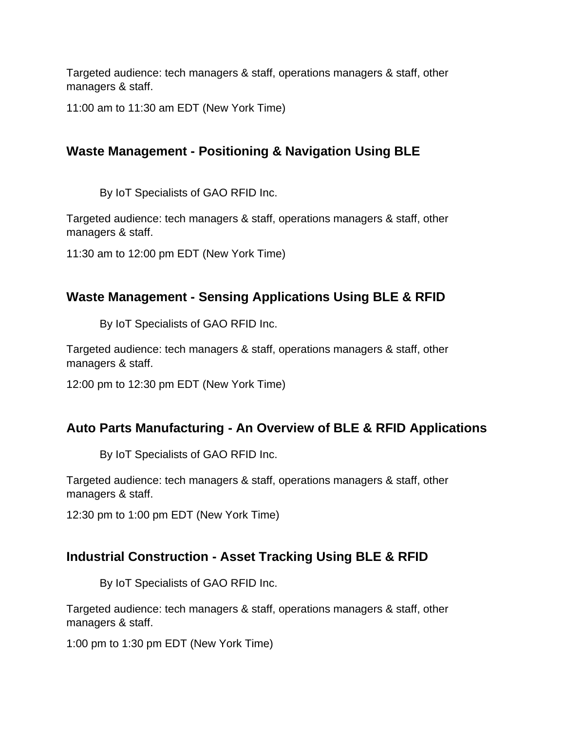11:00 am to 11:30 am EDT (New York Time)

# **Waste Management - Positioning & Navigation Using BLE**

By IoT Specialists of GAO RFID Inc.

Targeted audience: tech managers & staff, operations managers & staff, other managers & staff.

11:30 am to 12:00 pm EDT (New York Time)

#### **Waste Management - Sensing Applications Using BLE & RFID**

By IoT Specialists of GAO RFID Inc.

Targeted audience: tech managers & staff, operations managers & staff, other managers & staff.

12:00 pm to 12:30 pm EDT (New York Time)

#### **Auto Parts Manufacturing - An Overview of BLE & RFID Applications**

By IoT Specialists of GAO RFID Inc.

Targeted audience: tech managers & staff, operations managers & staff, other managers & staff.

12:30 pm to 1:00 pm EDT (New York Time)

# **Industrial Construction - Asset Tracking Using BLE & RFID**

By IoT Specialists of GAO RFID Inc.

Targeted audience: tech managers & staff, operations managers & staff, other managers & staff.

1:00 pm to 1:30 pm EDT (New York Time)